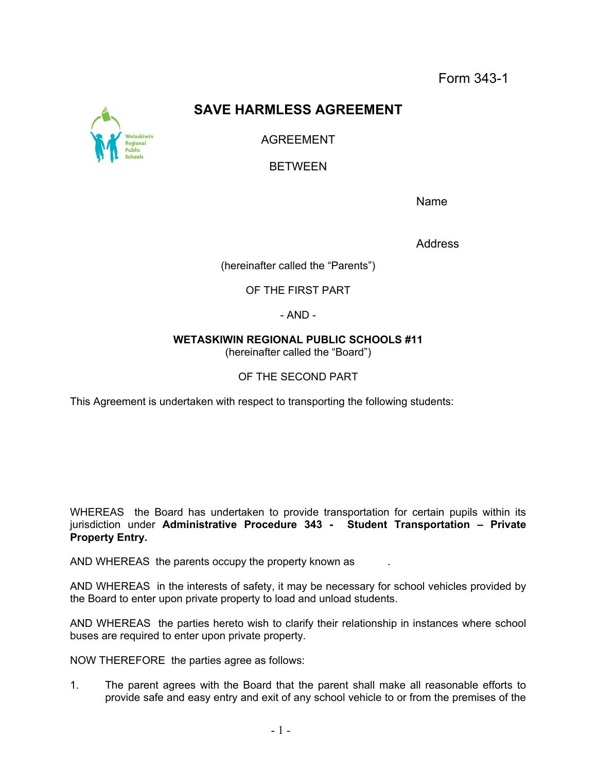Form 343-1

## **SAVE HARMLESS AGREEMENT**

AGREEMENT

BETWEEN

Name

Address

(hereinafter called the "Parents")

OF THE FIRST PART

- AND -

**WETASKIWIN REGIONAL PUBLIC SCHOOLS #11** 

(hereinafter called the "Board")

OF THE SECOND PART

This Agreement is undertaken with respect to transporting the following students:

WHEREAS the Board has undertaken to provide transportation for certain pupils within its jurisdiction under **Administrative Procedure 343 - Student Transportation – Private Property Entry.** 

AND WHEREAS the parents occupy the property known as

AND WHEREAS in the interests of safety, it may be necessary for school vehicles provided by the Board to enter upon private property to load and unload students.

AND WHEREAS the parties hereto wish to clarify their relationship in instances where school buses are required to enter upon private property.

NOW THEREFORE the parties agree as follows:

1. The parent agrees with the Board that the parent shall make all reasonable efforts to provide safe and easy entry and exit of any school vehicle to or from the premises of the